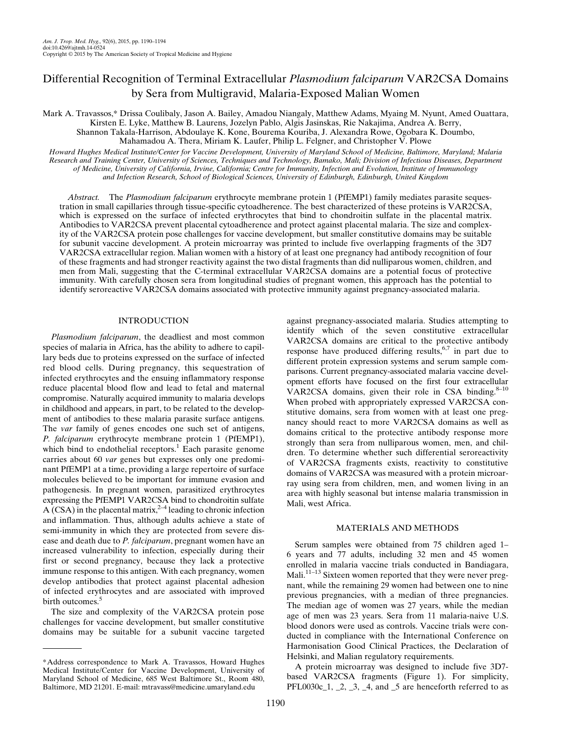# Differential Recognition of Terminal Extracellular Plasmodium falciparum VAR2CSA Domains by Sera from Multigravid, Malaria-Exposed Malian Women

Mark A. Travassos,\* Drissa Coulibaly, Jason A. Bailey, Amadou Niangaly, Matthew Adams, Myaing M. Nyunt, Amed Ouattara, Kirsten E. Lyke, Matthew B. Laurens, Jozelyn Pablo, Algis Jasinskas, Rie Nakajima, Andrea A. Berry, Shannon Takala-Harrison, Abdoulaye K. Kone, Bourema Kouriba, J. Alexandra Rowe, Ogobara K. Doumbo, Mahamadou A. Thera, Miriam K. Laufer, Philip L. Felgner, and Christopher V. Plowe

Howard Hughes Medical Institute/Center for Vaccine Development, University of Maryland School of Medicine, Baltimore, Maryland; Malaria Research and Training Center, University of Sciences, Techniques and Technology, Bamako, Mali; Division of Infectious Diseases, Department of Medicine, University of California, Irvine, California; Centre for Immunity, Infection and Evolution, Institute of Immunology and Infection Research, School of Biological Sciences, University of Edinburgh, Edinburgh, United Kingdom

Abstract. The Plasmodium falciparum erythrocyte membrane protein 1 (PfEMP1) family mediates parasite sequestration in small capillaries through tissue-specific cytoadherence. The best characterized of these proteins is VAR2CSA, which is expressed on the surface of infected erythrocytes that bind to chondroitin sulfate in the placental matrix. Antibodies to VAR2CSA prevent placental cytoadherence and protect against placental malaria. The size and complexity of the VAR2CSA protein pose challenges for vaccine development, but smaller constitutive domains may be suitable for subunit vaccine development. A protein microarray was printed to include five overlapping fragments of the 3D7 VAR2CSA extracellular region. Malian women with a history of at least one pregnancy had antibody recognition of four of these fragments and had stronger reactivity against the two distal fragments than did nulliparous women, children, and men from Mali, suggesting that the C-terminal extracellular VAR2CSA domains are a potential focus of protective immunity. With carefully chosen sera from longitudinal studies of pregnant women, this approach has the potential to identify seroreactive VAR2CSA domains associated with protective immunity against pregnancy-associated malaria.

#### INTRODUCTION

Plasmodium falciparum, the deadliest and most common species of malaria in Africa, has the ability to adhere to capillary beds due to proteins expressed on the surface of infected red blood cells. During pregnancy, this sequestration of infected erythrocytes and the ensuing inflammatory response reduce placental blood flow and lead to fetal and maternal compromise. Naturally acquired immunity to malaria develops in childhood and appears, in part, to be related to the development of antibodies to these malaria parasite surface antigens. The var family of genes encodes one such set of antigens, P. falciparum erythrocyte membrane protein 1 (PfEMP1), which bind to endothelial receptors.<sup>1</sup> Each parasite genome carries about 60 var genes but expresses only one predominant PfEMP1 at a time, providing a large repertoire of surface molecules believed to be important for immune evasion and pathogenesis. In pregnant women, parasitized erythrocytes expressing the PfEMP1 VAR2CSA bind to chondroitin sulfate A  $(CSA)$  in the placental matrix,<sup>2-4</sup> leading to chronic infection and inflammation. Thus, although adults achieve a state of semi-immunity in which they are protected from severe disease and death due to P. falciparum, pregnant women have an increased vulnerability to infection, especially during their first or second pregnancy, because they lack a protective immune response to this antigen. With each pregnancy, women develop antibodies that protect against placental adhesion of infected erythrocytes and are associated with improved birth outcomes.<sup>5</sup>

The size and complexity of the VAR2CSA protein pose challenges for vaccine development, but smaller constitutive domains may be suitable for a subunit vaccine targeted against pregnancy-associated malaria. Studies attempting to identify which of the seven constitutive extracellular VAR2CSA domains are critical to the protective antibody response have produced differing results,  $6,7$  in part due to different protein expression systems and serum sample comparisons. Current pregnancy-associated malaria vaccine development efforts have focused on the first four extracellular VAR2CSA domains, given their role in CSA binding.<sup>8-10</sup> When probed with appropriately expressed VAR2CSA constitutive domains, sera from women with at least one pregnancy should react to more VAR2CSA domains as well as domains critical to the protective antibody response more strongly than sera from nulliparous women, men, and children. To determine whether such differential seroreactivity of VAR2CSA fragments exists, reactivity to constitutive domains of VAR2CSA was measured with a protein microarray using sera from children, men, and women living in an area with highly seasonal but intense malaria transmission in Mali, west Africa.

## MATERIALS AND METHODS

Serum samples were obtained from 75 children aged 1– 6 years and 77 adults, including 32 men and 45 women enrolled in malaria vaccine trials conducted in Bandiagara, Mali.<sup>11-13</sup> Sixteen women reported that they were never pregnant, while the remaining 29 women had between one to nine previous pregnancies, with a median of three pregnancies. The median age of women was 27 years, while the median age of men was 23 years. Sera from 11 malaria-naive U.S. blood donors were used as controls. Vaccine trials were conducted in compliance with the International Conference on Harmonisation Good Clinical Practices, the Declaration of Helsinki, and Malian regulatory requirements.

A protein microarray was designed to include five 3D7 based VAR2CSA fragments (Figure 1). For simplicity, PFL0030c<sub>1</sub>,  $\alpha$ ,  $\beta$ ,  $\beta$ ,  $\alpha$ , and  $\beta$  are henceforth referred to as

<sup>\*</sup>Address correspondence to Mark A. Travassos, Howard Hughes Medical Institute/Center for Vaccine Development, University of Maryland School of Medicine, 685 West Baltimore St., Room 480, Baltimore, MD 21201. E-mail: mtravass@medicine.umaryland.edu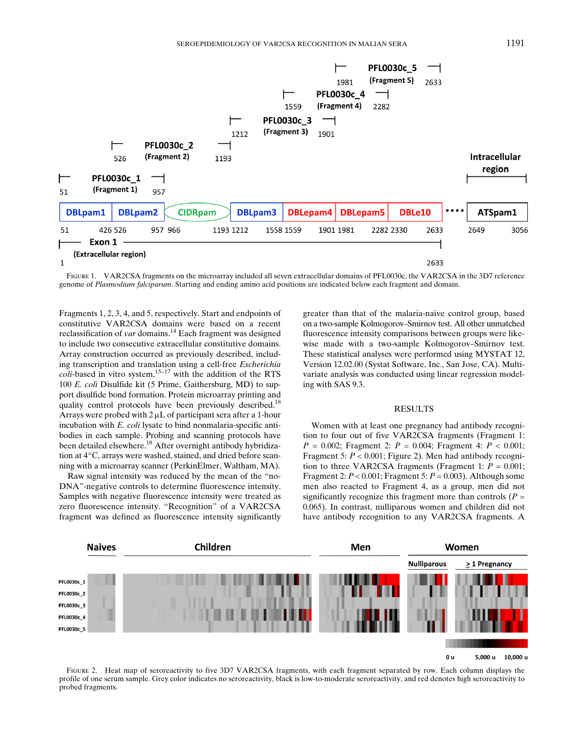

Figure 1. VAR2CSA fragments on the microarray included all seven extracellular domains of PFL0030c, the VAR2CSA in the 3D7 reference genome of Plasmodium falciparum. Starting and ending amino acid positions are indicated below each fragment and domain.

Fragments 1, 2, 3, 4, and 5, respectively. Start and endpoints of constitutive VAR2CSA domains were based on a recent reclassification of *var* domains.<sup>14</sup> Each fragment was designed to include two consecutive extracellular constitutive domains. Array construction occurred as previously described, including transcription and translation using a cell-free Escherichia  $coll$ -based in vitro system,<sup>15–17</sup> with the addition of the RTS 100 E. coli Disulfide kit (5 Prime, Gaithersburg, MD) to support disulfide bond formation. Protein microarray printing and quality control protocols have been previously described.<sup>18</sup> Arrays were probed with  $2 \mu L$  of participant sera after a 1-hour incubation with E. coli lysate to bind nonmalaria-specific antibodies in each sample. Probing and scanning protocols have been detailed elsewhere.<sup>18</sup> After overnight antibody hybridization at 4°C, arrays were washed, stained, and dried before scanning with a microarray scanner (PerkinElmer, Waltham, MA).

Raw signal intensity was reduced by the mean of the "no-DNA"-negative controls to determine fluorescence intensity. Samples with negative fluorescence intensity were treated as zero fluorescence intensity. "Recognition" of a VAR2CSA fragment was defined as fluorescence intensity significantly greater than that of the malaria-naïve control group, based on a two-sample Kolmogorov–Smirnov test. All other unmatched fluorescence intensity comparisons between groups were likewise made with a two-sample Kolmogorov–Smirnov test. These statistical analyses were performed using MYSTAT 12, Version 12.02.00 (Systat Software, Inc., San Jose, CA). Multivariate analysis was conducted using linear regression modeling with SAS 9.3.

### **RESULTS**

Women with at least one pregnancy had antibody recognition to four out of five VAR2CSA fragments (Fragment 1:  $P = 0.002$ ; Fragment 2:  $P = 0.004$ ; Fragment 4:  $P < 0.001$ ; Fragment 5:  $P < 0.001$ ; Figure 2). Men had antibody recognition to three VAR2CSA fragments (Fragment 1:  $P = 0.001$ ; Fragment 2:  $P < 0.001$ ; Fragment 5:  $P = 0.003$ ). Although some men also reacted to Fragment 4, as a group, men did not significantly recognize this fragment more than controls  $(P =$ 0.065). In contrast, nulliparous women and children did not have antibody recognition to any VAR2CSA fragments. A



FIGURE 2. Heat map of seroreactivity to five 3D7 VAR2CSA fragments, with each fragment separated by row. Each column displays the profile of one serum sample. Grey color indicates no seroreactivity, black is low-to-moderate seroreactivity, and red denotes high seroreactivity to probed fragments.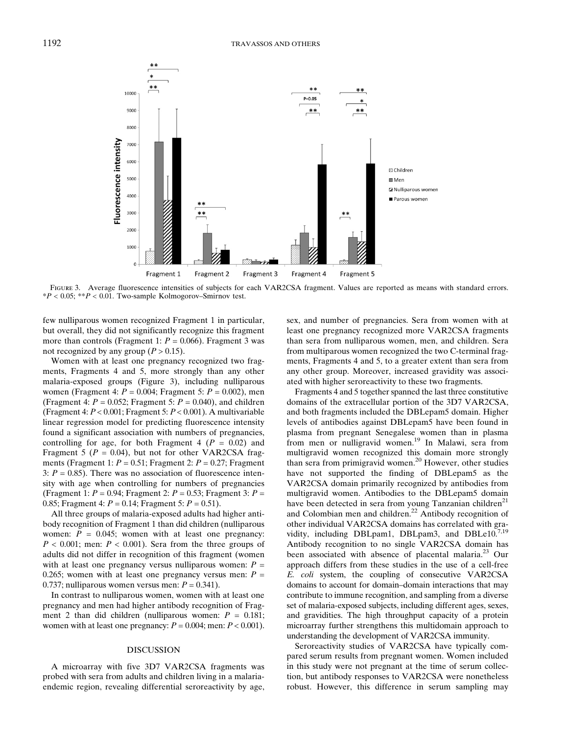

FIGURE 3. Average fluorescence intensities of subjects for each VAR2CSA fragment. Values are reported as means with standard errors.  $*P < 0.05$ ;  $*P < 0.01$ . Two-sample Kolmogorov–Smirnov test.

few nulliparous women recognized Fragment 1 in particular, but overall, they did not significantly recognize this fragment more than controls (Fragment 1:  $P = 0.066$ ). Fragment 3 was not recognized by any group ( $P > 0.15$ ).

Women with at least one pregnancy recognized two fragments, Fragments 4 and 5, more strongly than any other malaria-exposed groups (Figure 3), including nulliparous women (Fragment 4:  $P = 0.004$ ; Fragment 5:  $P = 0.002$ ), men (Fragment 4:  $P = 0.052$ ; Fragment 5:  $P = 0.040$ ), and children (Fragment 4:  $P < 0.001$ ; Fragment 5:  $P < 0.001$ ). A multivariable linear regression model for predicting fluorescence intensity found a significant association with numbers of pregnancies, controlling for age, for both Fragment 4 ( $P = 0.02$ ) and Fragment 5 ( $P = 0.04$ ), but not for other VAR2CSA fragments (Fragment 1:  $P = 0.51$ ; Fragment 2:  $P = 0.27$ ; Fragment 3:  $P = 0.85$ ). There was no association of fluorescence intensity with age when controlling for numbers of pregnancies (Fragment 1:  $P = 0.94$ ; Fragment 2:  $P = 0.53$ ; Fragment 3:  $P =$ 0.85; Fragment 4:  $P = 0.14$ ; Fragment 5:  $P = 0.51$ ).

All three groups of malaria-exposed adults had higher antibody recognition of Fragment 1 than did children (nulliparous women:  $P = 0.045$ ; women with at least one pregnancy:  $P < 0.001$ ; men:  $P < 0.001$ ). Sera from the three groups of adults did not differ in recognition of this fragment (women with at least one pregnancy versus nulliparous women:  $P =$ 0.265; women with at least one pregnancy versus men:  $P =$ 0.737; nulliparous women versus men:  $P = 0.341$ .

In contrast to nulliparous women, women with at least one pregnancy and men had higher antibody recognition of Fragment 2 than did children (nulliparous women:  $P = 0.181$ ; women with at least one pregnancy:  $P = 0.004$ ; men:  $P < 0.001$ ).

#### DISCUSSION

A microarray with five 3D7 VAR2CSA fragments was probed with sera from adults and children living in a malariaendemic region, revealing differential seroreactivity by age, sex, and number of pregnancies. Sera from women with at least one pregnancy recognized more VAR2CSA fragments than sera from nulliparous women, men, and children. Sera from multiparous women recognized the two C-terminal fragments, Fragments 4 and 5, to a greater extent than sera from any other group. Moreover, increased gravidity was associated with higher seroreactivity to these two fragments.

Fragments 4 and 5 together spanned the last three constitutive domains of the extracellular portion of the 3D7 VAR2CSA, and both fragments included the DBLepam5 domain. Higher levels of antibodies against DBLepam5 have been found in plasma from pregnant Senegalese women than in plasma from men or nulligravid women.<sup>19</sup> In Malawi, sera from multigravid women recognized this domain more strongly than sera from primigravid women.<sup>20</sup> However, other studies have not supported the finding of DBLepam5 as the VAR2CSA domain primarily recognized by antibodies from multigravid women. Antibodies to the DBLepam5 domain have been detected in sera from young Tanzanian children<sup>21</sup> and Colombian men and children.<sup>22</sup> Antibody recognition of other individual VAR2CSA domains has correlated with gravidity, including DBLpam1, DBLpam3, and DBLe10.7,19 Antibody recognition to no single VAR2CSA domain has been associated with absence of placental malaria.<sup>23</sup> Our approach differs from these studies in the use of a cell-free E. coli system, the coupling of consecutive VAR2CSA domains to account for domain–domain interactions that may contribute to immune recognition, and sampling from a diverse set of malaria-exposed subjects, including different ages, sexes, and gravidities. The high throughput capacity of a protein microarray further strengthens this multidomain approach to understanding the development of VAR2CSA immunity.

Seroreactivity studies of VAR2CSA have typically compared serum results from pregnant women. Women included in this study were not pregnant at the time of serum collection, but antibody responses to VAR2CSA were nonetheless robust. However, this difference in serum sampling may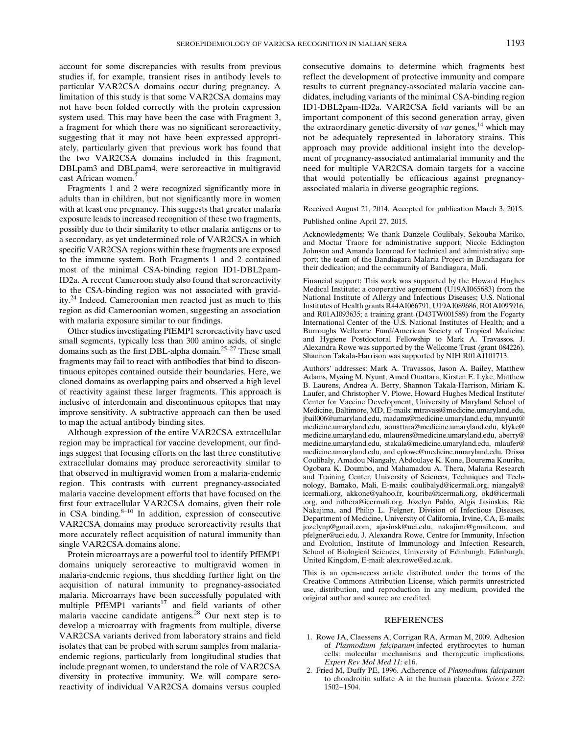account for some discrepancies with results from previous studies if, for example, transient rises in antibody levels to particular VAR2CSA domains occur during pregnancy. A limitation of this study is that some VAR2CSA domains may not have been folded correctly with the protein expression system used. This may have been the case with Fragment 3, a fragment for which there was no significant seroreactivity, suggesting that it may not have been expressed appropriately, particularly given that previous work has found that the two VAR2CSA domains included in this fragment, DBLpam3 and DBLpam4, were seroreactive in multigravid east African women.<sup>7</sup>

Fragments 1 and 2 were recognized significantly more in adults than in children, but not significantly more in women with at least one pregnancy. This suggests that greater malaria exposure leads to increased recognition of these two fragments, possibly due to their similarity to other malaria antigens or to a secondary, as yet undetermined role of VAR2CSA in which specific VAR2CSA regions within these fragments are exposed to the immune system. Both Fragments 1 and 2 contained most of the minimal CSA-binding region ID1-DBL2pam-ID2a. A recent Cameroon study also found that seroreactivity to the CSA-binding region was not associated with gravidity.24 Indeed, Cameroonian men reacted just as much to this region as did Cameroonian women, suggesting an association with malaria exposure similar to our findings.

Other studies investigating PfEMP1 seroreactivity have used small segments, typically less than 300 amino acids, of single domains such as the first DBL-alpha domain.25–<sup>27</sup> These small fragments may fail to react with antibodies that bind to discontinuous epitopes contained outside their boundaries. Here, we cloned domains as overlapping pairs and observed a high level of reactivity against these larger fragments. This approach is inclusive of interdomain and discontinuous epitopes that may improve sensitivity. A subtractive approach can then be used to map the actual antibody binding sites.

Although expression of the entire VAR2CSA extracellular region may be impractical for vaccine development, our findings suggest that focusing efforts on the last three constitutive extracellular domains may produce seroreactivity similar to that observed in multigravid women from a malaria-endemic region. This contrasts with current pregnancy-associated malaria vaccine development efforts that have focused on the first four extracellular VAR2CSA domains, given their role in CSA binding. $8-10$  In addition, expression of consecutive VAR2CSA domains may produce seroreactivity results that more accurately reflect acquisition of natural immunity than single VAR2CSA domains alone.

Protein microarrays are a powerful tool to identify PfEMP1 domains uniquely seroreactive to multigravid women in malaria-endemic regions, thus shedding further light on the acquisition of natural immunity to pregnancy-associated malaria. Microarrays have been successfully populated with multiple PfEMP1 variants<sup>17</sup> and field variants of other malaria vaccine candidate antigens.28 Our next step is to develop a microarray with fragments from multiple, diverse VAR2CSA variants derived from laboratory strains and field isolates that can be probed with serum samples from malariaendemic regions, particularly from longitudinal studies that include pregnant women, to understand the role of VAR2CSA diversity in protective immunity. We will compare seroreactivity of individual VAR2CSA domains versus coupled

consecutive domains to determine which fragments best reflect the development of protective immunity and compare results to current pregnancy-associated malaria vaccine candidates, including variants of the minimal CSA-binding region ID1-DBL2pam-ID2a. VAR2CSA field variants will be an important component of this second generation array, given the extraordinary genetic diversity of var genes,<sup>14</sup> which may not be adequately represented in laboratory strains. This approach may provide additional insight into the development of pregnancy-associated antimalarial immunity and the need for multiple VAR2CSA domain targets for a vaccine that would potentially be efficacious against pregnancyassociated malaria in diverse geographic regions.

Received August 21, 2014. Accepted for publication March 3, 2015.

Published online April 27, 2015.

Acknowledgments: We thank Danzele Coulibaly, Sekouba Mariko, and Moctar Traore for administrative support; Nicole Eddington Johnson and Amanda Icenroad for technical and administrative support; the team of the Bandiagara Malaria Project in Bandiagara for their dedication; and the community of Bandiagara, Mali.

Financial support: This work was supported by the Howard Hughes Medical Institute; a cooperative agreement (U19AI065683) from the National Institute of Allergy and Infectious Diseases; U.S. National Institutes of Health grants R44AI066791, U19AI089686, R01AI095916, and R01AI093635; a training grant (D43TW001589) from the Fogarty International Center of the U.S. National Institutes of Health; and a Burroughs Wellcome Fund/American Society of Tropical Medicine and Hygiene Postdoctoral Fellowship to Mark A. Travassos. J. Alexandra Rowe was supported by the Wellcome Trust (grant 084226). Shannon Takala-Harrison was supported by NIH R01AI101713.

Authors' addresses: Mark A. Travassos, Jason A. Bailey, Matthew Adams, Myaing M. Nyunt, Amed Ouattara, Kirsten E. Lyke, Matthew B. Laurens, Andrea A. Berry, Shannon Takala-Harrison, Miriam K. Laufer, and Christopher V. Plowe, Howard Hughes Medical Institute/ Center for Vaccine Development, University of Maryland School of Medicine, Baltimore, MD, E-mails: mtravass@medicine.umaryland.edu, jbail006@umaryland.edu, madams@medicine.umaryland.edu, mnyunt@ medicine.umaryland.edu, aouattara@medicine.umaryland.edu, klyke@ medicine.umaryland.edu, mlaurens@medicine.umaryland.edu, aberry@ medicine.umaryland.edu, stakala@medicine.umaryland.edu, mlaufer@ medicine.umaryland.edu, and cplowe@medicine.umaryland.edu. Drissa Coulibaly, Amadou Niangaly, Abdoulaye K. Kone, Bourema Kouriba, Ogobara K. Doumbo, and Mahamadou A. Thera, Malaria Research and Training Center, University of Sciences, Techniques and Technology, Bamako, Mali, E-mails: coulibalyd@icermali.org, niangaly@ icermali.org, akkone@yahoo.fr, kouriba@icermali.org, okd@icermali .org, and mthera@icermali.org. Jozelyn Pablo, Algis Jasinskas, Rie Nakajima, and Philip L. Felgner, Division of Infectious Diseases, Department of Medicine, University of California, Irvine, CA, E-mails: jozelynp@gmail.com, ajasinsk@uci.edu, nakajimr@gmail.com, and pfelgner@uci.edu. J. Alexandra Rowe, Centre for Immunity, Infection and Evolution, Institute of Immunology and Infection Research, School of Biological Sciences, University of Edinburgh, Edinburgh, United Kingdom, E-mail: alex.rowe@ed.ac.uk.

This is an open-access article distributed under the terms of the [Creative Commons Attribution License,](http://creativecommons.org/licenses/by/4.0/) which permits unrestricted use, distribution, and reproduction in any medium, provided the original author and source are credited.

#### REFERENCES

- 1. Rowe JA, Claessens A, Corrigan RA, Arman M, 2009. Adhesion of Plasmodium falciparum-infected erythrocytes to human cells: molecular mechanisms and therapeutic implications. Expert Rev Mol Med 11: e16.
- 2. Fried M, Duffy PE, 1996. Adherence of Plasmodium falciparum to chondroitin sulfate A in the human placenta. Science 272: 1502–1504.